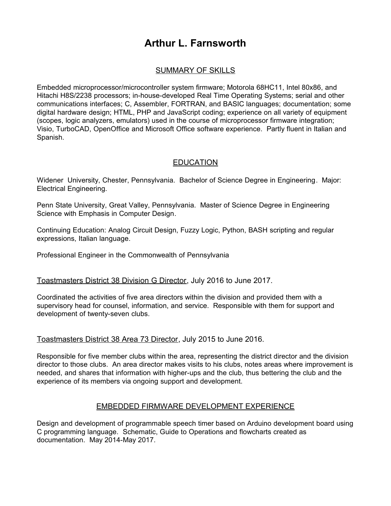# **Arthur L. Farnsworth**

## SUMMARY OF SKILLS

Embedded microprocessor/microcontroller system firmware; Motorola 68HC11, Intel 80x86, and Hitachi H8S/2238 processors; in-house-developed Real Time Operating Systems; serial and other communications interfaces; C, Assembler, FORTRAN, and BASIC languages; documentation; some digital hardware design; HTML, PHP and JavaScript coding; experience on all variety of equipment (scopes, logic analyzers, emulators) used in the course of microprocessor firmware integration; Visio, TurboCAD, OpenOffice and Microsoft Office software experience. Partly fluent in Italian and Spanish.

## **EDUCATION**

Widener University, Chester, Pennsylvania. Bachelor of Science Degree in Engineering. Major: Electrical Engineering.

Penn State University, Great Valley, Pennsylvania. Master of Science Degree in Engineering Science with Emphasis in Computer Design.

Continuing Education: Analog Circuit Design, Fuzzy Logic, Python, BASH scripting and regular expressions, Italian language.

Professional Engineer in the Commonwealth of Pennsylvania

### Toastmasters District 38 Division G Director, July 2016 to June 2017.

Coordinated the activities of five area directors within the division and provided them with a supervisory head for counsel, information, and service. Responsible with them for support and development of twenty-seven clubs.

#### Toastmasters District 38 Area 73 Director, July 2015 to June 2016.

Responsible for five member clubs within the area, representing the district director and the division director to those clubs. An area director makes visits to his clubs, notes areas where improvement is needed, and shares that information with higher-ups and the club, thus bettering the club and the experience of its members via ongoing support and development.

### EMBEDDED FIRMWARE DEVELOPMENT EXPERIENCE

Design and development of programmable speech timer based on Arduino development board using C programming language. Schematic, Guide to Operations and flowcharts created as documentation. May 2014-May 2017.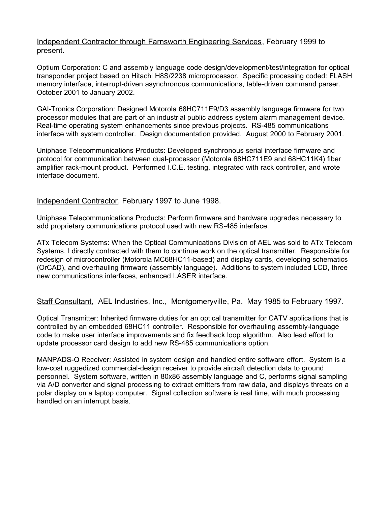#### Independent Contractor through Farnsworth Engineering Services, February 1999 to present.

Optium Corporation: C and assembly language code design/development/test/integration for optical transponder project based on Hitachi H8S/2238 microprocessor. Specific processing coded: FLASH memory interface, interrupt-driven asynchronous communications, table-driven command parser. October 2001 to January 2002.

GAI-Tronics Corporation: Designed Motorola 68HC711E9/D3 assembly language firmware for two processor modules that are part of an industrial public address system alarm management device. Real-time operating system enhancements since previous projects. RS-485 communications interface with system controller. Design documentation provided. August 2000 to February 2001.

Uniphase Telecommunications Products: Developed synchronous serial interface firmware and protocol for communication between dual-processor (Motorola 68HC711E9 and 68HC11K4) fiber amplifier rack-mount product. Performed I.C.E. testing, integrated with rack controller, and wrote interface document.

Independent Contractor, February 1997 to June 1998.

Uniphase Telecommunications Products: Perform firmware and hardware upgrades necessary to add proprietary communications protocol used with new RS-485 interface.

ATx Telecom Systems: When the Optical Communications Division of AEL was sold to ATx Telecom Systems, I directly contracted with them to continue work on the optical transmitter. Responsible for redesign of microcontroller (Motorola MC68HC11-based) and display cards, developing schematics (OrCAD), and overhauling firmware (assembly language). Additions to system included LCD, three new communications interfaces, enhanced LASER interface.

Staff Consultant, AEL Industries, Inc., Montgomeryville, Pa. May 1985 to February 1997.

Optical Transmitter: Inherited firmware duties for an optical transmitter for CATV applications that is controlled by an embedded 68HC11 controller. Responsible for overhauling assembly-language code to make user interface improvements and fix feedback loop algorithm. Also lead effort to update processor card design to add new RS-485 communications option.

MANPADS-Q Receiver: Assisted in system design and handled entire software effort. System is a low-cost ruggedized commercial-design receiver to provide aircraft detection data to ground personnel. System software, written in 80x86 assembly language and C, performs signal sampling via A/D converter and signal processing to extract emitters from raw data, and displays threats on a polar display on a laptop computer. Signal collection software is real time, with much processing handled on an interrupt basis.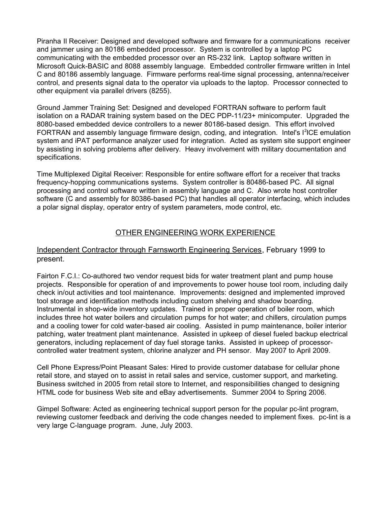Piranha II Receiver: Designed and developed software and firmware for a communications receiver and jammer using an 80186 embedded processor. System is controlled by a laptop PC communicating with the embedded processor over an RS-232 link. Laptop software written in Microsoft Quick-BASIC and 8088 assembly language. Embedded controller firmware written in Intel C and 80186 assembly language. Firmware performs real-time signal processing, antenna/receiver control, and presents signal data to the operator via uploads to the laptop. Processor connected to other equipment via parallel drivers (8255).

Ground Jammer Training Set: Designed and developed FORTRAN software to perform fault isolation on a RADAR training system based on the DEC PDP-11/23+ minicomputer. Upgraded the 8080-based embedded device controllers to a newer 80186-based design. This effort involved FORTRAN and assembly language firmware design, coding, and integration. Intel's I<sup>2</sup>ICE emulation system and iPAT performance analyzer used for integration. Acted as system site support engineer by assisting in solving problems after delivery. Heavy involvement with military documentation and specifications.

Time Multiplexed Digital Receiver: Responsible for entire software effort for a receiver that tracks frequency-hopping communications systems. System controller is 80486-based PC. All signal processing and control software written in assembly language and C. Also wrote host controller software (C and assembly for 80386-based PC) that handles all operator interfacing, which includes a polar signal display, operator entry of system parameters, mode control, etc.

## OTHER ENGINEERING WORK EXPERIENCE

### Independent Contractor through Farnsworth Engineering Services, February 1999 to present.

Fairton F.C.I.: Co-authored two vendor request bids for water treatment plant and pump house projects. Responsible for operation of and improvements to power house tool room, including daily check in/out activities and tool maintenance. Improvements: designed and implemented improved tool storage and identification methods including custom shelving and shadow boarding. Instrumental in shop-wide inventory updates. Trained in proper operation of boiler room, which includes three hot water boilers and circulation pumps for hot water; and chillers, circulation pumps and a cooling tower for cold water-based air cooling. Assisted in pump maintenance, boiler interior patching, water treatment plant maintenance. Assisted in upkeep of diesel fueled backup electrical generators, including replacement of day fuel storage tanks. Assisted in upkeep of processorcontrolled water treatment system, chlorine analyzer and PH sensor. May 2007 to April 2009.

Cell Phone Express/Point Pleasant Sales: Hired to provide customer database for cellular phone retail store, and stayed on to assist in retail sales and service, customer support, and marketing. Business switched in 2005 from retail store to Internet, and responsibilities changed to designing HTML code for business Web site and eBay advertisements. Summer 2004 to Spring 2006.

Gimpel Software: Acted as engineering technical support person for the popular pc-lint program, reviewing customer feedback and deriving the code changes needed to implement fixes. pc-lint is a very large C-language program. June, July 2003.